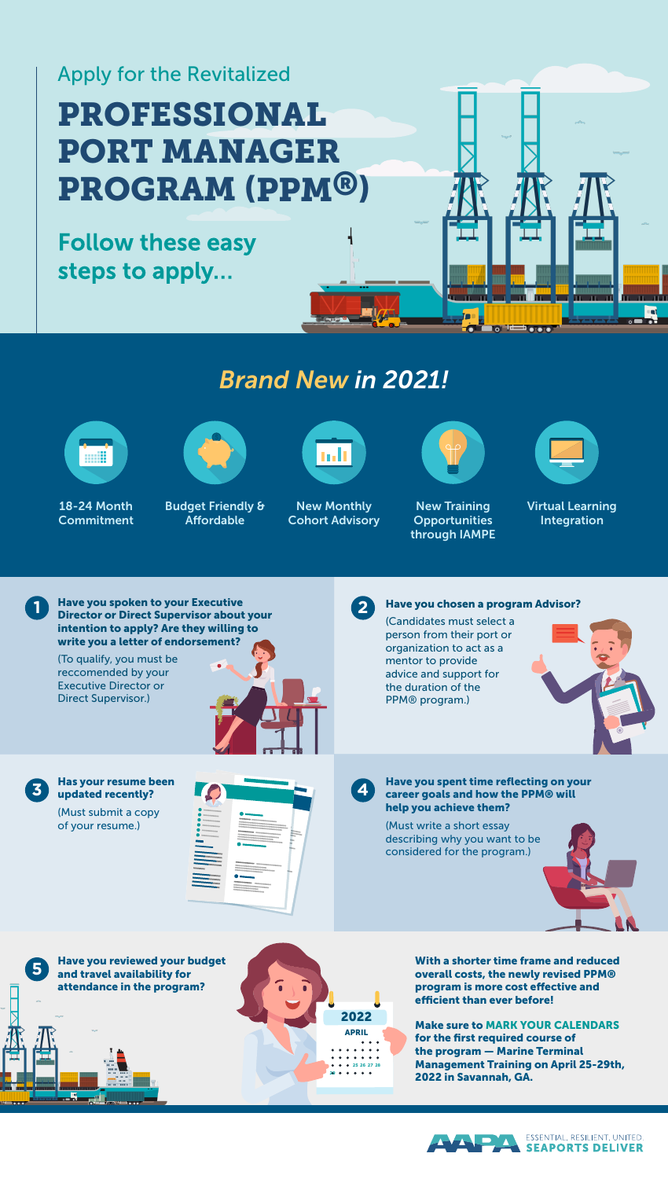# Apply for the Revitalized PROFESSIONAL PORT MANAGER PROGRAM (PPM®)

Follow these easy steps to apply…

# *Brand New in 2021!*



**Commitment** 

18-24 Month



Budget Friendly & **Affordable** 



New Monthly Cohort Advisory



īm:

New Training **Opportunities** through IAMPE



Virtual Learning Integration

Have you spoken to your Executive **1 Director or Direct Supervisor about your** intention to apply? Are they willing to write you a letter of endorsement?

(To qualify, you must be reccomended by your Executive Director or Direct Supervisor.)



**4**

Have you chosen a program Advisor?

(Candidates must select a person from their port or organization to act as a mentor to provide advice and support for the duration of the PPM® program.)



Has your resume been updated recently? (Must submit a copy of your resume.)

**3**

**5**

۵Ñ



#### Have you spent time reflecting on your career goals and how the PPM® will help you achieve them?

(Must write a short essay describing why you want to be considered for the program.)



Have you reviewed your budget and travel availability for attendance in the program?



With a shorter time frame and reduced overall costs, the newly revised PPM® program is more cost effective and efficient than ever before!

Make sure to MARK YOUR CALENDARS for the first required course of the program — Marine Terminal Management Training on April 25-29th, 2022 in Savannah, GA.